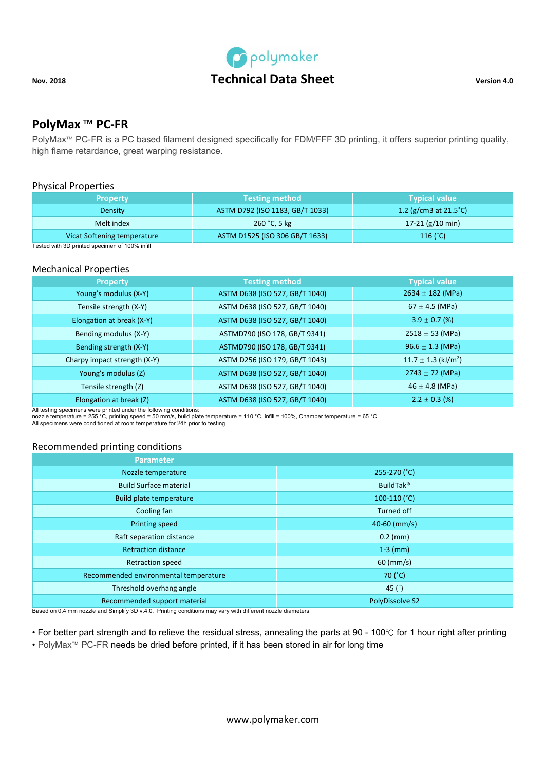

# PolyMax ™ PC-FR

PolyMax<sup>™</sup> PC-FR is a PC based filament designed specifically for FDM/FFF 3D printing, it offers superior printing quality, high flame retardance, great warping resistance.

## Physical Properties

| <b>Property</b>             | <b>Testing method</b>           | <b>Typical value</b>            |
|-----------------------------|---------------------------------|---------------------------------|
| Density                     | ASTM D792 (ISO 1183, GB/T 1033) | 1.2 (g/cm3 at $21.5^{\circ}$ C) |
| Melt index                  | 260 °C, 5 kg                    | $17-21$ (g/10 min)              |
| Vicat Softening temperature | ASTM D1525 (ISO 306 GB/T 1633)  | 116 $(^{\circ}C)$               |

Tested with 3D printed specimen of 100% infill

### Mechanical Properties

| <b>Property</b>              | <b>Testing method</b>          | <b>Typical value</b>                |
|------------------------------|--------------------------------|-------------------------------------|
| Young's modulus (X-Y)        | ASTM D638 (ISO 527, GB/T 1040) | $2634 \pm 182$ (MPa)                |
| Tensile strength (X-Y)       | ASTM D638 (ISO 527, GB/T 1040) | 67 $\pm$ 4.5 (MPa)                  |
| Elongation at break (X-Y)    | ASTM D638 (ISO 527, GB/T 1040) | $3.9 \pm 0.7$ (%)                   |
| Bending modulus (X-Y)        | ASTMD790 (ISO 178, GB/T 9341)  | $2518 \pm 53$ (MPa)                 |
| Bending strength (X-Y)       | ASTMD790 (ISO 178, GB/T 9341)  | $96.6 \pm 1.3$ (MPa)                |
| Charpy impact strength (X-Y) | ASTM D256 (ISO 179, GB/T 1043) | $11.7 \pm 1.3$ (kJ/m <sup>2</sup> ) |
| Young's modulus (Z)          | ASTM D638 (ISO 527, GB/T 1040) | $2743 \pm 72$ (MPa)                 |
| Tensile strength (Z)         | ASTM D638 (ISO 527, GB/T 1040) | $46 \pm 4.8$ (MPa)                  |
| Elongation at break (Z)      | ASTM D638 (ISO 527, GB/T 1040) | $2.2 \pm 0.3$ (%)                   |
|                              |                                |                                     |

All testing specimens were printed under the following conditions: nozzle temperature = 255 °C, printing speed = 50 mm/s, build plate temperature = 110 °C, infill = 100%, Chamber temperature = 65 °C

All specimens were conditioned at room temperature for 24h prior to testing

### Recommended printing conditions

| <b>Parameter</b>                      |                        |
|---------------------------------------|------------------------|
| Nozzle temperature                    | 255-270 (°C)           |
| <b>Build Surface material</b>         | BuildTak <sup>®</sup>  |
| Build plate temperature               | 100-110 $(^{\circ}C)$  |
| Cooling fan                           | Turned off             |
| Printing speed                        | $40-60$ (mm/s)         |
| Raft separation distance              | $0.2$ (mm)             |
| <b>Retraction distance</b>            | $1-3$ (mm)             |
| <b>Retraction speed</b>               | $60 \, (mm/s)$         |
| Recommended environmental temperature | 70 (°C)                |
| Threshold overhang angle              | 45 $(°)$               |
| Recommended support material          | <b>PolyDissolve S2</b> |

Based on 0.4 mm nozzle and Simplify 3D v.4.0. Printing conditions may vary with different nozzle diameters

• For better part strength and to relieve the residual stress, annealing the parts at 90 - 100℃ for 1 hour right after printing • PolyMax™ PC-FR needs be dried before printed, if it has been stored in air for long time